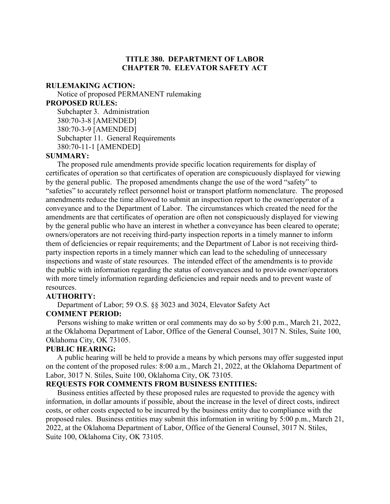## **TITLE 380. DEPARTMENT OF LABOR CHAPTER 70. ELEVATOR SAFETY ACT**

#### **RULEMAKING ACTION:**

Notice of proposed PERMANENT rulemaking **PROPOSED RULES:** Subchapter 3. Administration 380:70-3-8 [AMENDED] 380:70-3-9 [AMENDED] Subchapter 11. General Requirements 380:70-11-1 [AMENDED]

### **SUMMARY:**

The proposed rule amendments provide specific location requirements for display of certificates of operation so that certificates of operation are conspicuously displayed for viewing by the general public. The proposed amendments change the use of the word "safety" to "safeties" to accurately reflect personnel hoist or transport platform nomenclature. The proposed amendments reduce the time allowed to submit an inspection report to the owner/operator of a conveyance and to the Department of Labor. The circumstances which created the need for the amendments are that certificates of operation are often not conspicuously displayed for viewing by the general public who have an interest in whether a conveyance has been cleared to operate; owners/operators are not receiving third-party inspection reports in a timely manner to inform them of deficiencies or repair requirements; and the Department of Labor is not receiving thirdparty inspection reports in a timely manner which can lead to the scheduling of unnecessary inspections and waste of state resources. The intended effect of the amendments is to provide the public with information regarding the status of conveyances and to provide owner/operators with more timely information regarding deficiencies and repair needs and to prevent waste of resources.

### **AUTHORITY:**

Department of Labor; 59 O.S. §§ 3023 and 3024, Elevator Safety Act

### **COMMENT PERIOD:**

Persons wishing to make written or oral comments may do so by 5:00 p.m., March 21, 2022, at the Oklahoma Department of Labor, Office of the General Counsel, 3017 N. Stiles, Suite 100, Oklahoma City, OK 73105.

### **PUBLIC HEARING:**

A public hearing will be held to provide a means by which persons may offer suggested input on the content of the proposed rules: 8:00 a.m., March 21, 2022, at the Oklahoma Department of Labor, 3017 N. Stiles, Suite 100, Oklahoma City, OK 73105.

### **REQUESTS FOR COMMENTS FROM BUSINESS ENTITIES:**

Business entities affected by these proposed rules are requested to provide the agency with information, in dollar amounts if possible, about the increase in the level of direct costs, indirect costs, or other costs expected to be incurred by the business entity due to compliance with the proposed rules. Business entities may submit this information in writing by 5:00 p.m., March 21, 2022, at the Oklahoma Department of Labor, Office of the General Counsel, 3017 N. Stiles, Suite 100, Oklahoma City, OK 73105.